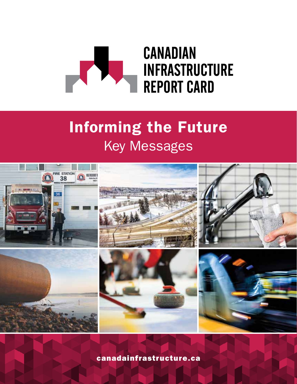

# Informing the Future Key Messages



[canadainfrastructure.ca](http://www.canadainfrastructure.ca)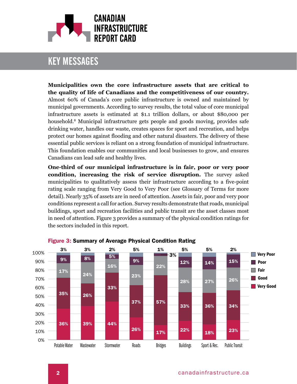

**Municipalities own the core infrastructure assets that are critical to the quality of life of Canadians and the competitiveness of our country.**  Almost 60% of Canada's core public infrastructure is owned and maintained by municipal governments. According to survey results, the total value of core municipal infrastructure assets is estimated at \$1.1 trillion dollars, or about \$80,000 per household.8 Municipal infrastructure gets people and goods moving, provides safe drinking water, handles our waste, creates spaces for sport and recreation, and helps protect our homes against flooding and other natural disasters. The delivery of these essential public services is reliant on a strong foundation of municipal infrastructure. This foundation enables our communities and local businesses to grow, and ensures Canadians can lead safe and healthy lives.

**One-third of our municipal infrastructure is in fair, poor or very poor condition, increasing the risk of service disruption.** The survey asked municipalities to qualitatively assess their infrastructure according to a five-point rating scale ranging from Very Good to Very Poor (see Glossary of Terms for more detail). Nearly 35% of assets are in need of attention. Assets in fair, poor and very poor conditions represent a call for action. Survey results demonstrate that roads, municipal buildings, sport and recreation facilities and public transit are the asset classes most in need of attention. Figure 3 provides a summary of the physical condition ratings for the sectors included in this report.



#### Figure 3: Summary of Average Physical Condition Rating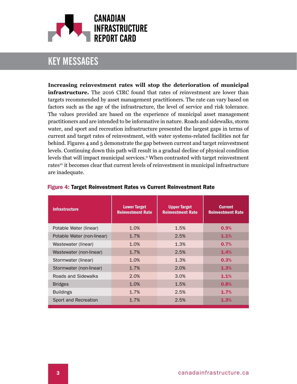

**Increasing reinvestment rates will stop the deterioration of municipal infrastructure.** The 2016 CIRC found that rates of reinvestment are lower than targets recommended by asset management practitioners. The rate can vary based on factors such as the age of the infrastructure, the level of service and risk tolerance. The values provided are based on the experience of municipal asset management practitioners and are intended to be informative in nature. Roads and sidewalks, storm water, and sport and recreation infrastructure presented the largest gaps in terms of current and target rates of reinvestment, with water systems-related facilities not far behind. Figures 4 and 5 demonstrate the gap between current and target reinvestment levels. Continuing down this path will result in a gradual decline of physical condition levels that will impact municipal services.9 When contrasted with target reinvestment rates<sup>10</sup> it becomes clear that current levels of reinvestment in municipal infrastructure are inadequate.

| <b>Infrastructure</b>      | <b>Lower Target</b><br><b>Reinvestment Rate</b> | <b>Upper Target</b><br><b>Reinvestment Rate</b> | <b>Current</b><br><b>Reinvestment Rate</b> |
|----------------------------|-------------------------------------------------|-------------------------------------------------|--------------------------------------------|
| Potable Water (linear)     | 1.0%                                            | 1.5%                                            | 0.9%                                       |
| Potable Water (non-linear) | 1.7%                                            | 2.5%                                            | 1.1%                                       |
| Wastewater (linear)        | 1.0%                                            | 1.3%                                            | 0.7%                                       |
| Wastewater (non-linear)    | 1.7%                                            | 2.5%                                            | 1.4%                                       |
| Stormwater (linear)        | 1.0%                                            | 1.3%                                            | 0.3%                                       |
| Stormwater (non-linear)    | 1.7%                                            | 2.0%                                            | 1.3%                                       |
| Roads and Sidewalks        | 2.0%                                            | 3.0%                                            | 1.1%                                       |
| <b>Bridges</b>             | 1.0%                                            | 1.5%                                            | 0.8%                                       |
| <b>Buildings</b>           | 1.7%                                            | 2.5%                                            | 1.7%                                       |
| Sport and Recreation       | 1.7%                                            | 2.5%                                            | 1.3%                                       |

#### Figure 4: Target Reinvestment Rates vs Current Reinvestment Rate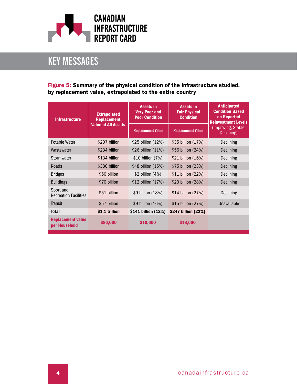

#### Figure 5: Summary of the physical condition of the infrastructure studied, by replacement value, extrapolated to the entire country

| <b>Infrastructure</b>                     | <b>Extrapolated</b><br><b>Replacement</b><br><b>Value of All Assets</b> | <b>Assets in</b><br><b>Very Poor and</b><br><b>Poor Condition</b> | <b>Assets in</b><br><b>Fair Physical</b><br><b>Condition</b> | <b>Anticipated</b><br><b>Condition Based</b><br>on Reported<br><b>Reinvestment Levels</b><br>(Improving, Stable,<br>Declining) |
|-------------------------------------------|-------------------------------------------------------------------------|-------------------------------------------------------------------|--------------------------------------------------------------|--------------------------------------------------------------------------------------------------------------------------------|
|                                           |                                                                         | <b>Replacement Value</b>                                          | <b>Replacement Value</b>                                     |                                                                                                                                |
| <b>Potable Water</b>                      | \$207 billion                                                           | \$25 billion (12%)                                                | \$35 billion (17%)                                           | Declining                                                                                                                      |
| Wastewater                                | \$234 billion                                                           | \$26 billion (11%)                                                | \$56 billion (24%)                                           | Declining                                                                                                                      |
| Stormwater                                | \$134 billion                                                           | \$10 billion (7%)                                                 | \$21 billion (16%)                                           | <b>Declining</b>                                                                                                               |
| Roads                                     | \$330 billion                                                           | \$48 billion (15%)                                                | \$75 billion (23%)                                           | Declining                                                                                                                      |
| <b>Bridges</b>                            | \$50 billion                                                            | $$2$ billion $(4%)$                                               | \$11 billion (22%)                                           | Declining                                                                                                                      |
| <b>Buildings</b>                          | \$70 billion                                                            | \$12 billion (17%)                                                | \$20 billion (28%)                                           | Declining                                                                                                                      |
| Sport and<br><b>Recreation Facilities</b> | \$51 billion                                                            | \$9 billion (18%)                                                 | \$14 billion (27%)                                           | Declining                                                                                                                      |
| Transit                                   | \$57 billion                                                            | \$9 billion (16%)                                                 | \$15 billion (27%)                                           | Unavailable                                                                                                                    |
| <b>Total</b>                              | \$1.1 trillion                                                          | \$141 billion (12%)                                               | \$247 billion (22%)                                          |                                                                                                                                |
| <b>Replacement Value</b><br>per Household | \$80,000                                                                | \$10,000                                                          | \$18,000                                                     |                                                                                                                                |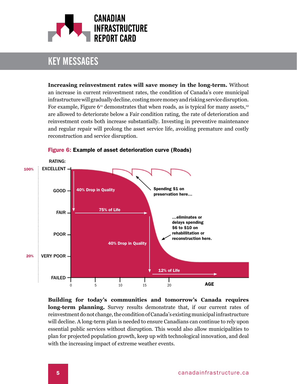

**Increasing reinvestment rates will save money in the long-term.** Without an increase in current reinvestment rates, the condition of Canada's core municipal infrastructure will gradually decline, costing more money and risking service disruption. For example, Figure  $6^{11}$  demonstrates that when roads, as is typical for many assets,<sup>12</sup> are allowed to deteriorate below a Fair condition rating, the rate of deterioration and reinvestment costs both increase substantially. Investing in preventive maintenance and regular repair will prolong the asset service life, avoiding premature and costly reconstruction and service disruption.



Figure 6: Example of asset deterioration curve (Roads)

**Building for today's communities and tomorrow's Canada requires long-term planning.** Survey results demonstrate that, if our current rates of reinvestment do not change, the condition of Canada's existing municipal infrastructure will decline. A long-term plan is needed to ensure Canadians can continue to rely upon essential public services without disruption. This would also allow municipalities to plan for projected population growth, keep up with technological innovation, and deal with the increasing impact of extreme weather events.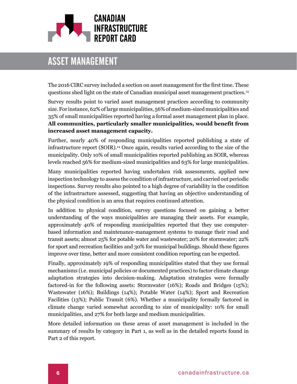

# asset management

The 2016 CIRC survey included a section on asset management for the first time. These questions shed light on the state of Canadian municipal asset management practices.13

Survey results point to varied asset management practices according to community size. For instance, 62% of large municipalities, 56% of medium-sized municipalities and 35% of small municipalities reported having a formal asset management plan in place. **All communities, particularly smaller municipalities, would benefit from increased asset management capacity.** 

Further, nearly 40% of responding municipalities reported publishing a state of infrastructure report (SOIR).14 Once again, results varied according to the size of the municipality. Only 10% of small municipalities reported publishing an SOIR, whereas levels reached 56% for medium-sized municipalities and 63% for large municipalities.

Many municipalities reported having undertaken risk assessments, applied new inspection technology to assess the condition of infrastructure, and carried out periodic inspections. Survey results also pointed to a high degree of variability in the condition of the infrastructure assessed, suggesting that having an objective understanding of the physical condition is an area that requires continued attention.

In addition to physical condition, survey questions focused on gaining a better understanding of the ways municipalities are managing their assets. For example, approximately 40% of responding municipalities reported that they use computerbased information and maintenance-management systems to manage their road and transit assets; almost 25% for potable water and wastewater; 20% for stormwater; 22% for sport and recreation facilities and 30% for municipal buildings. Should these figures improve over time, better and more consistent condition reporting can be expected.

Finally, approximately 19% of responding municipalities stated that they use formal mechanisms (i.e. municipal policies or documented practices) to factor climate change adaptation strategies into decision-making. Adaptation strategies were formally factored-in for the following assets: Stormwater (16%); Roads and Bridges (15%); Wastewater (16%); Buildings (14%); Potable Water (14%); Sport and Recreation Facilities (13%); Public Transit (6%). Whether a municipality formally factored in climate change varied somewhat according to size of municipality: 10% for small municipalities, and 27% for both large and medium municipalities.

More detailed information on these areas of asset management is included in the summary of results by category in Part 1, as well as in the detailed reports found in Part 2 of this report.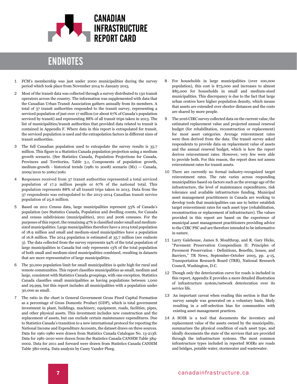

### **ENDNOTES**

- 1 FCM's membership was just under 2000 municipalities during the survey period which took place from November 2014 to January 2015.
- 2 Most of the transit data was collected through a survey distributed to 130 transit operators across the country. The information was supplemented with data that the Canadian Urban Transit Association gathers annually from its members. A total of 37 transit authorities responded to the transit survey, representing a serviced population of just over 17 million (or about 67% of Canada's population serviced by transit) and representing 88% of all transit trips taken in 2013. The list of municipalities/transit authorities that provided data related to transit is contained in Appendix F. Where data in this report is extrapolated for transit, the serviced population is used and the extrapolation factors in different sizes of transit authorities.
- 3 [The full Canadian population used to extrapolate the survey results is 35.7](http://www.statcan.gc.ca/pub/91-520-x/2010001/t147-eng.htm) [million. This figure is a Statistics Canada population projection using a medium](http://www.statcan.gc.ca/pub/91-520-x/2010001/t147-eng.htm) [growth scenario. \(See Statistics Canada, Population Projections for Canada,](http://www.statcan.gc.ca/pub/91-520-x/2010001/t147-eng.htm) [Provinces and Territories, Table 3.1, Components of population growth,](http://www.statcan.gc.ca/pub/91-520-x/2010001/t147-eng.htm) [medium-growth - historical trends \(1981 to 2008\) scenario \(M1\) — Canada,](http://www.statcan.gc.ca/pub/91-520-x/2010001/t147-eng.htm) [2009/2010 to 2060/2061](http://www.statcan.gc.ca/pub/91-520-x/2010001/t147-eng.htm)
- 4 Responses received from 37 transit authorities represented a total serviced population of 17.2 million people or 67% of the national total. This population represents 88% of all transit trips taken in 2013. Data from the 37 respondents was extrapolated to the 2013-2014 Canadian transit service population of 25.6 million.
- 5 [Based on 2011 Census data, large municipalities represent 53% of Canada's](http://www12.statcan.gc.ca/census-recensement/2011/dp-pd/hlt-fst/pd-pl/Table-Tableau.cfm?LANG=Eng&T=301&SR=51&S=3&O=D&RPP=25&PR=0&CMA=0) [population \(see Statistics Canada, Population and dwelling counts, for Canada](http://www12.statcan.gc.ca/census-recensement/2011/dp-pd/hlt-fst/pd-pl/Table-Tableau.cfm?LANG=Eng&T=301&SR=51&S=3&O=D&RPP=25&PR=0&CMA=0) [and census subdivisions \(municipalities\), 2011 and 2006 censuses. For the](http://www12.statcan.gc.ca/census-recensement/2011/dp-pd/hlt-fst/pd-pl/Table-Tableau.cfm?LANG=Eng&T=301&SR=51&S=3&O=D&RPP=25&PR=0&CMA=0) [purposes of this report, the remaining 47% is classified under small and medium](http://www12.statcan.gc.ca/census-recensement/2011/dp-pd/hlt-fst/pd-pl/Table-Tableau.cfm?LANG=Eng&T=301&SR=51&S=3&O=D&RPP=25&PR=0&CMA=0)[sized municipalities. Large municipalities therefore have a 2014 total population](http://www12.statcan.gc.ca/census-recensement/2011/dp-pd/hlt-fst/pd-pl/Table-Tableau.cfm?LANG=Eng&T=301&SR=51&S=3&O=D&RPP=25&PR=0&CMA=0) [of 18.9 million and small and medium-sized municipalities have a population](http://www12.statcan.gc.ca/census-recensement/2011/dp-pd/hlt-fst/pd-pl/Table-Tableau.cfm?LANG=Eng&T=301&SR=51&S=3&O=D&RPP=25&PR=0&CMA=0) [of 16.8 million. The 2014 population is estimated at 35.7 million \(see endnote](http://www12.statcan.gc.ca/census-recensement/2011/dp-pd/hlt-fst/pd-pl/Table-Tableau.cfm?LANG=Eng&T=301&SR=51&S=3&O=D&RPP=25&PR=0&CMA=0) [3\). The data collected from the survey represents 94% of the total population of](http://www12.statcan.gc.ca/census-recensement/2011/dp-pd/hlt-fst/pd-pl/Table-Tableau.cfm?LANG=Eng&T=301&SR=51&S=3&O=D&RPP=25&PR=0&CMA=0) [large municipalities in Canada but only represents 13% of the total population](http://www12.statcan.gc.ca/census-recensement/2011/dp-pd/hlt-fst/pd-pl/Table-Tableau.cfm?LANG=Eng&T=301&SR=51&S=3&O=D&RPP=25&PR=0&CMA=0) [of both small and medium-sized municipalities combined, resulting in datasets](http://www12.statcan.gc.ca/census-recensement/2011/dp-pd/hlt-fst/pd-pl/Table-Tableau.cfm?LANG=Eng&T=301&SR=51&S=3&O=D&RPP=25&PR=0&CMA=0) [that are more representative of large municipalities.](http://www12.statcan.gc.ca/census-recensement/2011/dp-pd/hlt-fst/pd-pl/Table-Tableau.cfm?LANG=Eng&T=301&SR=51&S=3&O=D&RPP=25&PR=0&CMA=0)
- 6 [The 30,000 population limit for small municipalities is quite high for rural and](http://www.statcan.gc.ca/eng/subjects/standard/sgc/notice/sgc-06) [remote communities. This report classifies municipalities as small, medium and](http://www.statcan.gc.ca/eng/subjects/standard/sgc/notice/sgc-06) [large, consistent with Statistics Canada groupings, with one exception. Statistics](http://www.statcan.gc.ca/eng/subjects/standard/sgc/notice/sgc-06) [Canada classifies small municipalities as having populations between 1,000](http://www.statcan.gc.ca/eng/subjects/standard/sgc/notice/sgc-06) [and 29,999, but this report includes all municipalities with a population under](http://www.statcan.gc.ca/eng/subjects/standard/sgc/notice/sgc-06) [30,000 as small.](http://www.statcan.gc.ca/eng/subjects/standard/sgc/notice/sgc-06)
- 7 The ratio in the chart is General Government Gross Fixed Capital Formation as a percentage of Gross Domestic Product (GDP), which is total government investment in plant, buildings, machinery, equipment, roads, facilities, pipes, and other physical assets. This investment includes new construction and the replacement of assets, but can exclude certain maintenance expenditures. Due to Statistics Canada's transition to a new international protocol for reporting the National Income and Expenditure Accounts, the dataset draws on three sources. Data for 1961-1980 were drawn from Statistics Canada Catalogue No. 13-213S. Data for 1981-2010 were drawn from the Statistics Canada CANSIM Table 384- 0002. Data for 2011 and forward were drawn from Statistics Canada CANSIM Table 380-0064. Data analysis by Casey Vander Ploeg.
- 8 For households in large municipalities (over 100,000 population), this cost is \$73,000 and increases to almost \$85,000 for households in small and medium-sized municipalities. This discrepancy is due to the fact that large urban centres have higher population density, which means that assets are extended over shorter distances and the costs are shared by more people.
- 9 The 2016 CIRC survey collected data on the current value, the estimated replacement value and projected annual renewal budget (for rehabilitation, reconstruction or replacement) for most asset categories. Average reinvestment rates were then derived from the data. The transit survey asked respondents to provide data on replacement value of assets and the annual renewal budget, which is how the report derives reinvestment rates. However, very few were able to provide both. For this reason, the report does not assess reinvestment rates for transit assets.
- 10 There are currently no formal industry-recognized target reinvestment rates. The rate varies across responding municipalities based on factors such as the average age of the infrastructure, the level of maintenance expenditures, risk tolerance and available infrastructure funding. Municipal asset management practitioners in Canada are working to develop tools that municipalities can use to better establish target reinvestment rates for each asset type (rehabilitation, reconstruction or replacement of infrastructure). The values provided in this report are based on the experience of municipal asset management practitioners providing advice to the CIRC PSC and are therefore intended to be informative in nature.
- 11 Larry Galehouse, James S. Moulthrop, and R. Gary Hicks, "Pavement Preservation Compendium II: Principles of Pavement Preservation - Definitions, Benefits, Issues, and Barriers," TR News, September-October 2003, pp. 4-15, Transportation Research Board (TRB), National Research Council, Washington, D.C.
- 12 Though only the deterioration curve for roads is included in this report, Appendix E provides a more detailed illustration of infrastructure system/network deterioration over its service life.
- 13 An important caveat when reading this section is that the survey sample was generated on a voluntary basis, likely resulting in a self-selection bias for communities with existing asset management practices.
- 14 A SOIR is a tool that documents the inventory and replacement value of the assets owned by the municipality, summarizes the physical condition of each asset type, and ideally documents the state of the services that are provided through the infrastructure systems. The most common infrastructure types included in reported SOIRs are roads and bridges, potable water, stormwater and wastewater.